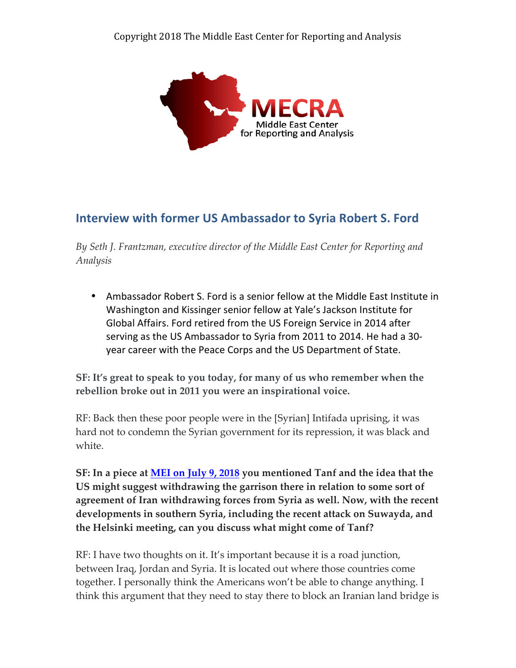

# **Interview with former US Ambassador to Syria Robert S. Ford**

*By Seth J. Frantzman, executive director of the Middle East Center for Reporting and Analysis*

• Ambassador Robert S. Ford is a senior fellow at the Middle East Institute in Washington and Kissinger senior fellow at Yale's Jackson Institute for Global Affairs. Ford retired from the US Foreign Service in 2014 after serving as the US Ambassador to Syria from 2011 to 2014. He had a 30year career with the Peace Corps and the US Department of State.

**SF: It's great to speak to you today, for many of us who remember when the rebellion broke out in 2011 you were an inspirational voice.**

RF: Back then these poor people were in the [Syrian] Intifada uprising, it was hard not to condemn the Syrian government for its repression, it was black and white.

**SF: In a piece at MEI on July 9, 2018 you mentioned Tanf and the idea that the US might suggest withdrawing the garrison there in relation to some sort of agreement of Iran withdrawing forces from Syria as well. Now, with the recent developments in southern Syria, including the recent attack on Suwayda, and the Helsinki meeting, can you discuss what might come of Tanf?**

RF: I have two thoughts on it. It's important because it is a road junction, between Iraq, Jordan and Syria. It is located out where those countries come together. I personally think the Americans won't be able to change anything. I think this argument that they need to stay there to block an Iranian land bridge is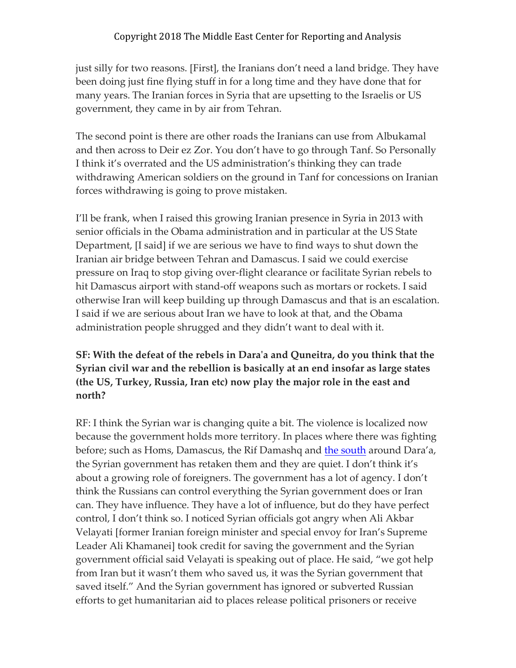just silly for two reasons. [First], the Iranians don't need a land bridge. They have been doing just fine flying stuff in for a long time and they have done that for many years. The Iranian forces in Syria that are upsetting to the Israelis or US government, they came in by air from Tehran.

The second point is there are other roads the Iranians can use from Albukamal and then across to Deir ez Zor. You don't have to go through Tanf. So Personally I think it's overrated and the US administration's thinking they can trade withdrawing American soldiers on the ground in Tanf for concessions on Iranian forces withdrawing is going to prove mistaken.

I'll be frank, when I raised this growing Iranian presence in Syria in 2013 with senior officials in the Obama administration and in particular at the US State Department, [I said] if we are serious we have to find ways to shut down the Iranian air bridge between Tehran and Damascus. I said we could exercise pressure on Iraq to stop giving over-flight clearance or facilitate Syrian rebels to hit Damascus airport with stand-off weapons such as mortars or rockets. I said otherwise Iran will keep building up through Damascus and that is an escalation. I said if we are serious about Iran we have to look at that, and the Obama administration people shrugged and they didn't want to deal with it.

**SF: With the defeat of the rebels in Dara'a and Quneitra, do you think that the Syrian civil war and the rebellion is basically at an end insofar as large states (the US, Turkey, Russia, Iran etc) now play the major role in the east and north?**

RF: I think the Syrian war is changing quite a bit. The violence is localized now because the government holds more territory. In places where there was fighting before; such as Homs, Damascus, the Rif Damashq and the south around Dara'a, the Syrian government has retaken them and they are quiet. I don't think it's about a growing role of foreigners. The government has a lot of agency. I don't think the Russians can control everything the Syrian government does or Iran can. They have influence. They have a lot of influence, but do they have perfect control, I don't think so. I noticed Syrian officials got angry when Ali Akbar Velayati [former Iranian foreign minister and special envoy for Iran's Supreme Leader Ali Khamanei] took credit for saving the government and the Syrian government official said Velayati is speaking out of place. He said, "we got help from Iran but it wasn't them who saved us, it was the Syrian government that saved itself." And the Syrian government has ignored or subverted Russian efforts to get humanitarian aid to places release political prisoners or receive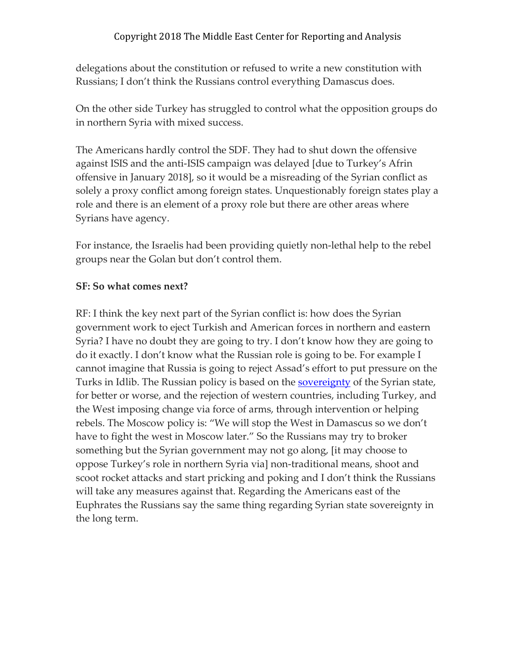delegations about the constitution or refused to write a new constitution with Russians; I don't think the Russians control everything Damascus does.

On the other side Turkey has struggled to control what the opposition groups do in northern Syria with mixed success.

The Americans hardly control the SDF. They had to shut down the offensive against ISIS and the anti-ISIS campaign was delayed [due to Turkey's Afrin offensive in January 2018], so it would be a misreading of the Syrian conflict as solely a proxy conflict among foreign states. Unquestionably foreign states play a role and there is an element of a proxy role but there are other areas where Syrians have agency.

For instance, the Israelis had been providing quietly non-lethal help to the rebel groups near the Golan but don't control them.

#### **SF: So what comes next?**

RF: I think the key next part of the Syrian conflict is: how does the Syrian government work to eject Turkish and American forces in northern and eastern Syria? I have no doubt they are going to try. I don't know how they are going to do it exactly. I don't know what the Russian role is going to be. For example I cannot imagine that Russia is going to reject Assad's effort to put pressure on the Turks in Idlib. The Russian policy is based on the sovereignty of the Syrian state, for better or worse, and the rejection of western countries, including Turkey, and the West imposing change via force of arms, through intervention or helping rebels. The Moscow policy is: "We will stop the West in Damascus so we don't have to fight the west in Moscow later." So the Russians may try to broker something but the Syrian government may not go along, [it may choose to oppose Turkey's role in northern Syria via] non-traditional means, shoot and scoot rocket attacks and start pricking and poking and I don't think the Russians will take any measures against that. Regarding the Americans east of the Euphrates the Russians say the same thing regarding Syrian state sovereignty in the long term.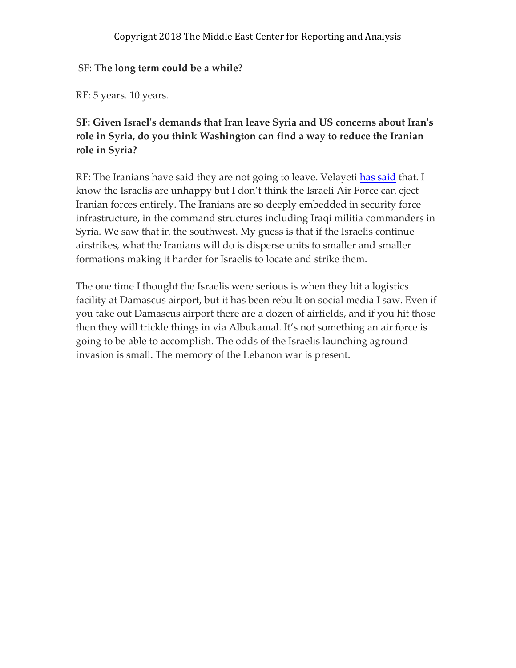#### SF: **The long term could be a while?**

RF: 5 years. 10 years.

### **SF: Given Israel's demands that Iran leave Syria and US concerns about Iran's role in Syria, do you think Washington can find a way to reduce the Iranian role in Syria?**

RF: The Iranians have said they are not going to leave. Velayeti has said that. I know the Israelis are unhappy but I don't think the Israeli Air Force can eject Iranian forces entirely. The Iranians are so deeply embedded in security force infrastructure, in the command structures including Iraqi militia commanders in Syria. We saw that in the southwest. My guess is that if the Israelis continue airstrikes, what the Iranians will do is disperse units to smaller and smaller formations making it harder for Israelis to locate and strike them.

The one time I thought the Israelis were serious is when they hit a logistics facility at Damascus airport, but it has been rebuilt on social media I saw. Even if you take out Damascus airport there are a dozen of airfields, and if you hit those then they will trickle things in via Albukamal. It's not something an air force is going to be able to accomplish. The odds of the Israelis launching aground invasion is small. The memory of the Lebanon war is present.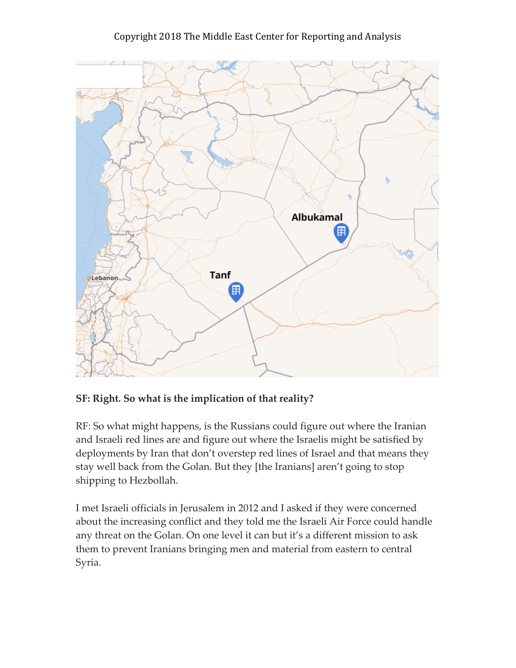

### **SF: Right. So what is the implication of that reality?**

RF: So what might happens, is the Russians could figure out where the Iranian and Israeli red lines are and figure out where the Israelis might be satisfied by deployments by Iran that don't overstep red lines of Israel and that means they stay well back from the Golan. But they [the Iranians] aren't going to stop shipping to Hezbollah.

I met Israeli officials in Jerusalem in 2012 and I asked if they were concerned about the increasing conflict and they told me the Israeli Air Force could handle any threat on the Golan. On one level it can but it's a different mission to ask them to prevent Iranians bringing men and material from eastern to central Syria.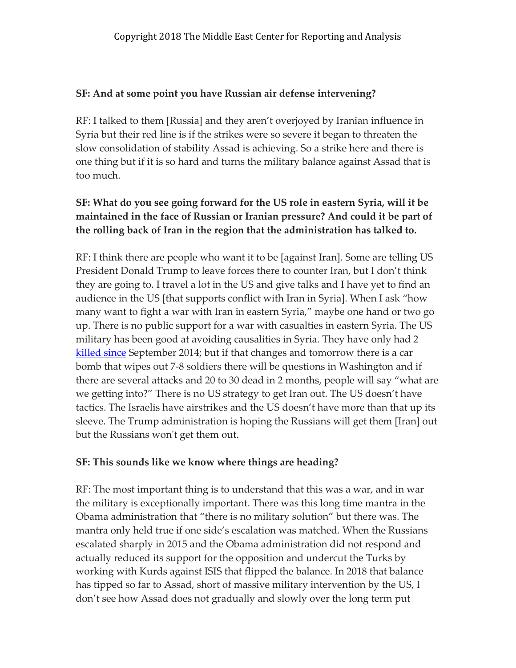### **SF: And at some point you have Russian air defense intervening?**

RF: I talked to them [Russia] and they aren't overjoyed by Iranian influence in Syria but their red line is if the strikes were so severe it began to threaten the slow consolidation of stability Assad is achieving. So a strike here and there is one thing but if it is so hard and turns the military balance against Assad that is too much.

### **SF: What do you see going forward for the US role in eastern Syria, will it be maintained in the face of Russian or Iranian pressure? And could it be part of the rolling back of Iran in the region that the administration has talked to.**

RF: I think there are people who want it to be [against Iran]. Some are telling US President Donald Trump to leave forces there to counter Iran, but I don't think they are going to. I travel a lot in the US and give talks and I have yet to find an audience in the US [that supports conflict with Iran in Syria]. When I ask "how many want to fight a war with Iran in eastern Syria," maybe one hand or two go up. There is no public support for a war with casualties in eastern Syria. The US military has been good at avoiding causalities in Syria. They have only had 2 killed since September 2014; but if that changes and tomorrow there is a car bomb that wipes out 7-8 soldiers there will be questions in Washington and if there are several attacks and 20 to 30 dead in 2 months, people will say "what are we getting into?" There is no US strategy to get Iran out. The US doesn't have tactics. The Israelis have airstrikes and the US doesn't have more than that up its sleeve. The Trump administration is hoping the Russians will get them [Iran] out but the Russians won't get them out.

### **SF: This sounds like we know where things are heading?**

RF: The most important thing is to understand that this was a war, and in war the military is exceptionally important. There was this long time mantra in the Obama administration that "there is no military solution" but there was. The mantra only held true if one side's escalation was matched. When the Russians escalated sharply in 2015 and the Obama administration did not respond and actually reduced its support for the opposition and undercut the Turks by working with Kurds against ISIS that flipped the balance. In 2018 that balance has tipped so far to Assad, short of massive military intervention by the US, I don't see how Assad does not gradually and slowly over the long term put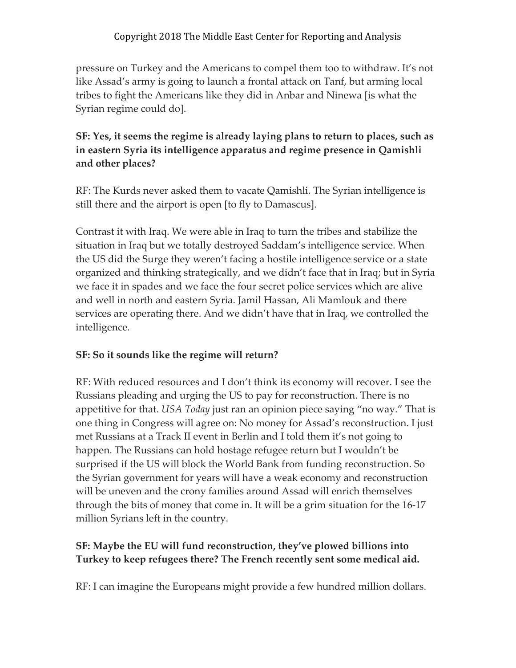pressure on Turkey and the Americans to compel them too to withdraw. It's not like Assad's army is going to launch a frontal attack on Tanf, but arming local tribes to fight the Americans like they did in Anbar and Ninewa [is what the Syrian regime could do].

# **SF: Yes, it seems the regime is already laying plans to return to places, such as in eastern Syria its intelligence apparatus and regime presence in Qamishli and other places?**

RF: The Kurds never asked them to vacate Qamishli. The Syrian intelligence is still there and the airport is open [to fly to Damascus].

Contrast it with Iraq. We were able in Iraq to turn the tribes and stabilize the situation in Iraq but we totally destroyed Saddam's intelligence service. When the US did the Surge they weren't facing a hostile intelligence service or a state organized and thinking strategically, and we didn't face that in Iraq; but in Syria we face it in spades and we face the four secret police services which are alive and well in north and eastern Syria. Jamil Hassan, Ali Mamlouk and there services are operating there. And we didn't have that in Iraq, we controlled the intelligence.

# **SF: So it sounds like the regime will return?**

RF: With reduced resources and I don't think its economy will recover. I see the Russians pleading and urging the US to pay for reconstruction. There is no appetitive for that. *USA Today* just ran an opinion piece saying "no way." That is one thing in Congress will agree on: No money for Assad's reconstruction. I just met Russians at a Track II event in Berlin and I told them it's not going to happen. The Russians can hold hostage refugee return but I wouldn't be surprised if the US will block the World Bank from funding reconstruction. So the Syrian government for years will have a weak economy and reconstruction will be uneven and the crony families around Assad will enrich themselves through the bits of money that come in. It will be a grim situation for the 16-17 million Syrians left in the country.

### **SF: Maybe the EU will fund reconstruction, they've plowed billions into Turkey to keep refugees there? The French recently sent some medical aid.**

RF: I can imagine the Europeans might provide a few hundred million dollars.